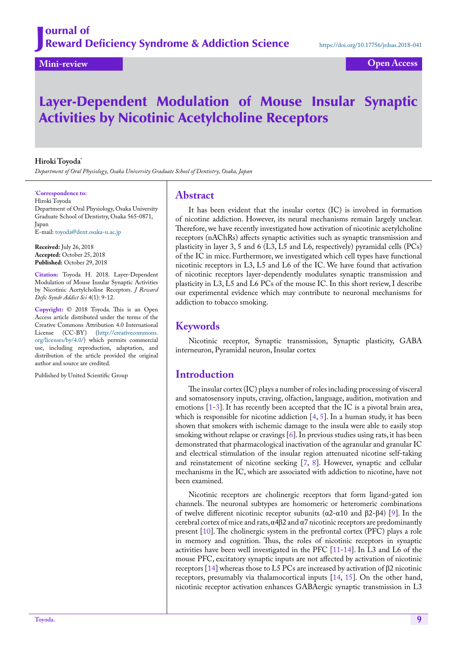# Layer-Dependent Modulation of Mouse Insular Synaptic Activities by Nicotinic Acetylcholine Receptors

#### **Hiroki Toyoda\***

*Department of Oral Physiology, Osaka University Graduate School of Dentistry, Osaka, Japan*

#### **\* Correspondence to:**

Hiroki Toyoda Department of Oral Physiology, Osaka University Graduate School of Dentistry, Osaka 565-0871, Japan E-mail: [toyoda@dent.osaka-u.ac.jp](mailto:toyoda@dent.osaka-u.ac.jp)

**Received:** July 26, 2018 **Accepted:** October 25, 2018 **Published:** October 29, 2018

**Citation:** Toyoda H. 2018. Layer-Dependent Modulation of Mouse Insular Synaptic Activities by Nicotinic Acetylcholine Receptors. *J Reward Defic Syndr Addict Sci* 4(1): 9-12.

**Copyright:** © 2018 Toyoda. This is an Open Access article distributed under the terms of the Creative Commons Attribution 4.0 International License (CC-BY) (http://creativecommons. org/licenses/by/4.0/) which permits commercial use, including reproduction, adaptation, and distribution of the article provided the original author and source are credited.

Published by United Scientific Group

### **Abstract**

It has been evident that the insular cortex (IC) is involved in formation of nicotine addiction. However, its neural mechanisms remain largely unclear. Therefore, we have recently investigated how activation of nicotinic acetylcholine receptors (nAChRs) affects synaptic activities such as synaptic transmission and plasticity in layer 3, 5 and 6 (L3, L5 and L6, respectively) pyramidal cells (PCs) of the IC in mice. Furthermore, we investigated which cell types have functional nicotinic receptors in L3, L5 and L6 of the IC. We have found that activation of nicotinic receptors layer-dependently modulates synaptic transmission and plasticity in L3, L5 and L6 PCs of the mouse IC. In this short review, I describe our experimental evidence which may contribute to neuronal mechanisms for addiction to tobacco smoking.

## **Keywords**

Nicotinic receptor, Synaptic transmission, Synaptic plasticity, GABA interneuron, Pyramidal neuron, Insular cortex

## **Introduction**

The insular cortex (IC) plays a number of roles including processing of visceral and somatosensory inputs, craving, olfaction, language, audition, motivation and emotions [\[1](#page-3-0)[-3](#page-3-1)]. It has recently been accepted that the IC is a pivotal brain area, which is responsible for nicotine addiction  $[4, 5]$  $[4, 5]$  $[4, 5]$ . In a human study, it has been shown that smokers with ischemic damage to the insula were able to easily stop smoking without relapse or cravings [[6\]](#page-3-4). In previous studies using rats, it has been demonstrated that pharmacological inactivation of the agranular and granular IC and electrical stimulation of the insular region attenuated nicotine self-taking and reinstatement of nicotine seeking [\[7](#page-3-5), [8\]](#page-3-6). However, synaptic and cellular mechanisms in the IC, which are associated with addiction to nicotine, have not been examined.

Nicotinic receptors are cholinergic receptors that form ligand-gated ion channels. The neuronal subtypes are homomeric or heteromeric combinations of twelve different nicotinic receptor subunits (α2-α10 and β2-β4) [\[9](#page-3-7)]. In the cerebral cortex of mice and rats,  $\alpha$ 4 $\beta$ 2 and  $\alpha$ 7 nicotinic receptors are predominantly present [\[10](#page-3-8)]. The cholinergic system in the prefrontal cortex (PFC) plays a role in memory and cognition. Thus, the roles of nicotinic receptors in synaptic activities have been well investigated in the PFC [[11-](#page-3-9)[14\]](#page-3-10). In L3 and L6 of the mouse PFC, excitatory synaptic inputs are not affected by activation of nicotinic receptors [[14\]](#page-3-10) whereas those to L5 PCs are increased by activation of β2 nicotinic receptors, presumably via thalamocortical inputs [[14,](#page-3-10) [15](#page-3-11)]. On the other hand, nicotinic receptor activation enhances GABAergic synaptic transmission in L3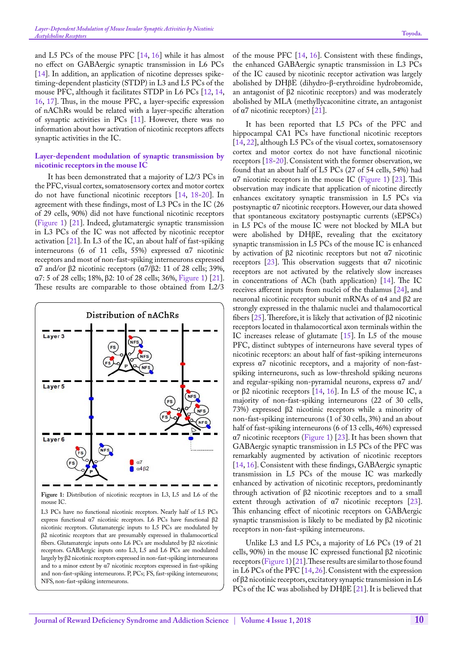and L5 PCs of the mouse PFC [\[14](#page-3-10), [16\]](#page-3-12) while it has almost no effect on GABAergic synaptic transmission in L6 PCs [[14\]](#page-3-10). In addition, an application of nicotine depresses spiketiming-dependent plasticity (STDP) in L3 and L5 PCs of the mouse PFC, although it facilitates STDP in L6 PCs [\[12](#page-3-13), [14](#page-3-10), [16](#page-3-12), [17\]](#page-3-14). Thus, in the mouse PFC, a layer-specific expression of nAChRs would be related with a layer-specific alteration of synaptic activities in PCs [[11\]](#page-3-9). However, there was no information about how activation of nicotinic receptors affects synaptic activities in the IC.

#### **Layer-dependent modulation of synaptic transmission by nicotinic receptors in the mouse IC**

It has been demonstrated that a majority of L2/3 PCs in the PFC, visual cortex, somatosensory cortex and motor cortex do not have functional nicotinic receptors [[14,](#page-3-10) [18-](#page-3-15)[20\]](#page-3-16). In agreement with these findings, most of L3 PCs in the IC (26 of 29 cells, 90%) did not have functional nicotinic receptors ([Figure 1\)](#page-1-0) [\[21](#page-3-17)]. Indeed, glutamatergic synaptic transmission in L3 PCs of the IC was not affected by nicotinic receptor activation [[21\]](#page-3-17). In L3 of the IC, an about half of fast-spiking interneurons (6 of 11 cells, 55%) expressed α7 nicotinic receptors and most of non-fast-spiking interneurons expressed α7 and/or β2 nicotinic receptors (α7/β2: 11 of 28 cells; 39%, α7: 5 of 28 cells; 18%, β2: 10 of 28 cells; 36%, [Figure 1\)](#page-1-0) [[21\]](#page-3-17). These results are comparable to those obtained from L2/3



<span id="page-1-0"></span>**Figure 1:** Distribution of nicotinic receptors in L3, L5 and L6 of the mouse IC.

L3 PCs have no functional nicotinic receptors. Nearly half of L5 PCs express functional α7 nicotinic receptors. L6 PCs have functional β2 nicotinic receptors. Glutamatergic inputs to L5 PCs are modulated by β2 nicotinic receptors that are presumably expressed in thalamocortical fibers. Glutamatergic inputs onto L6 PCs are modulated by β2 nicotinic receptors. GABAergic inputs onto L3, L5 and L6 PCs are modulated largely by β2 nicotinic receptors expressed in non-fast-spiking interneurons and to a minor extent by α7 nicotinic receptors expressed in fast-spiking and non-fast-spiking interneurons. P, PCs; FS, fast-spiking interneurons; NFS, non-fast-spiking interneurons.

of the mouse PFC [[14,](#page-3-10) [16](#page-3-12)]. Consistent with these findings, the enhanced GABAergic synaptic transmission in L3 PCs of the IC caused by nicotinic receptor activation was largely abolished by DHβE (dihydro-β-erythroidine hydrobromide, an antagonist of β2 nicotinic receptors) and was moderately abolished by MLA (methyllycaconitine citrate, an antagonist

of α7 nicotinic receptors) [[21\]](#page-3-17). It has been reported that L5 PCs of the PFC and hippocampal CA1 PCs have functional nicotinic receptors [[14,](#page-3-10) [22](#page-3-18)], although L5 PCs of the visual cortex, somatosensory cortex and motor cortex do not have functional nicotinic receptors [\[18](#page-3-15)[-20](#page-3-16)]. Consistent with the former observation, we found that an about half of L5 PCs (27 of 54 cells, 54%) had α7 nicotinic receptors in the mouse IC ([Figure 1](#page-1-0)) [[23\]](#page-3-19). This observation may indicate that application of nicotine directly enhances excitatory synaptic transmission in L5 PCs via postsynaptic α7 nicotinic receptors. However, our data showed that spontaneous excitatory postsynaptic currents (sEPSCs) in L5 PCs of the mouse IC were not blocked by MLA but were abolished by DHβE, revealing that the excitatory synaptic transmission in L5 PCs of the mouse IC is enhanced by activation of β2 nicotinic receptors but not α7 nicotinic receptors [[23\]](#page-3-19). This observation suggests that  $\alpha$ 7 nicotinic receptors are not activated by the relatively slow increases in concentrations of ACh (bath application) [\[14](#page-3-10)]. The IC receives afferent inputs from nuclei of the thalamus [[24\]](#page-3-20), and neuronal nicotinic receptor subunit mRNAs of α4 and β2 are strongly expressed in the thalamic nuclei and thalamocortical fibers [\[25](#page-3-21)]. Therefore, it is likely that activation of β2 nicotinic receptors located in thalamocortical axon terminals within the IC increases release of glutamate [\[15](#page-3-11)]. In L5 of the mouse PFC, distinct subtypes of interneurons have several types of nicotinic receptors: an about half of fast-spiking interneurons express α7 nicotinic receptors, and a majority of non-fastspiking interneurons, such as low-threshold spiking neurons and regular-spiking non-pyramidal neurons, express α7 and/ or β2 nicotinic receptors [\[14](#page-3-10), [16\]](#page-3-12). In L5 of the mouse IC, a majority of non-fast-spiking interneurons (22 of 30 cells, 73%) expressed β2 nicotinic receptors while a minority of non-fast-spiking interneurons (1 of 30 cells, 3%) and an about half of fast-spiking interneurons (6 of 13 cells, 46%) expressed  $\alpha$ 7 nicotinic receptors [\(Figure 1](#page-1-0)) [[23\]](#page-3-19). It has been shown that GABAergic synaptic transmission in L5 PCs of the PFC was remarkably augmented by activation of nicotinic receptors [[14,](#page-3-10) [16](#page-3-12)]. Consistent with these findings, GABAergic synaptic transmission in L5 PCs of the mouse IC was markedly enhanced by activation of nicotinic receptors, predominantly through activation of β2 nicotinic receptors and to a small extent through activation of α7 nicotinic receptors [[23\]](#page-3-19). This enhancing effect of nicotinic receptors on GABAergic synaptic transmission is likely to be mediated by β2 nicotinic receptors in non-fast-spiking interneurons.

Unlike L3 and L5 PCs, a majority of L6 PCs (19 of 21 cells, 90%) in the mouse IC expressed functional β2 nicotinic receptors [\(Figure 1\)](#page-1-0) [[21\]](#page-3-17). These results are similar to those found in L6 PCs of the PFC [[14,](#page-3-10) [26](#page-3-22)]. Consistent with the expression of β2 nicotinic receptors, excitatory synaptic transmission in L6 PCs of the IC was abolished by DHβE [\[21](#page-3-17)]. It is believed that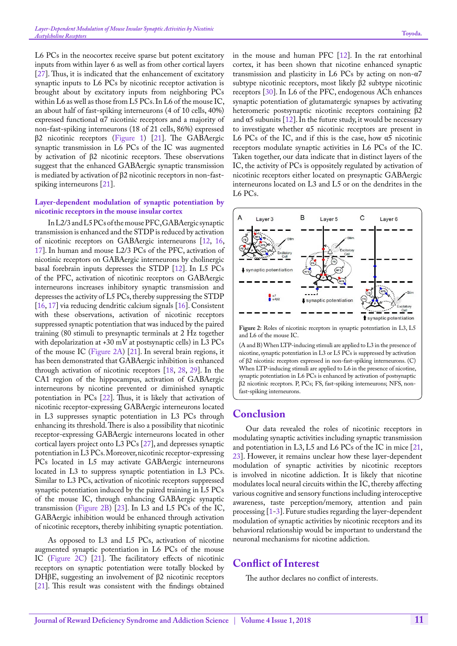L6 PCs in the neocortex receive sparse but potent excitatory inputs from within layer 6 as well as from other cortical layers [[27\]](#page-3-23). Thus, it is indicated that the enhancement of excitatory synaptic inputs to L6 PCs by nicotinic receptor activation is brought about by excitatory inputs from neighboring PCs within L6 as well as those from L5 PCs. In L6 of the mouse IC, an about half of fast-spiking interneurons (4 of 10 cells, 40%) expressed functional α7 nicotinic receptors and a majority of non-fast-spiking interneurons (18 of 21 cells, 86%) expressed β2 nicotinic receptors [\(Figure 1](#page-1-0)) [[21\]](#page-3-17). The GABAergic synaptic transmission in L6 PCs of the IC was augmented by activation of β2 nicotinic receptors. These observations suggest that the enhanced GABAergic synaptic transmission is mediated by activation of β2 nicotinic receptors in non-fastspiking interneurons [[21\]](#page-3-17).

#### **Layer-dependent modulation of synaptic potentiation by nicotinic receptors in the mouse insular cortex**

In L2/3 and L5 PCs of the mouse PFC, GABAergic synaptic transmission is enhanced and the STDP is reduced by activation of nicotinic receptors on GABAergic interneurons [[12,](#page-3-13) [16](#page-3-12), [17](#page-3-14)]. In human and mouse L2/3 PCs of the PFC, activation of nicotinic receptors on GABAergic interneurons by cholinergic basal forebrain inputs depresses the STDP [[12\]](#page-3-13). In L5 PCs of the PFC, activation of nicotinic receptors on GABAergic interneurons increases inhibitory synaptic transmission and depresses the activity of L5 PCs, thereby suppressing the STDP [[16,](#page-3-12) [17\]](#page-3-14) via reducing dendritic calcium signals [[16\]](#page-3-12). Consistent with these observations, activation of nicotinic receptors suppressed synaptic potentiation that was induced by the paired training (80 stimuli to presynaptic terminals at 2 Hz together with depolarization at +30 mV at postsynaptic cells) in L3 PCs of the mouse IC [\(Figure 2A\)](#page-2-0) [\[21](#page-3-17)]. In several brain regions, it has been demonstrated that GABAergic inhibition is enhanced through activation of nicotinic receptors [\[18](#page-3-15), [28,](#page-3-24) [29](#page-3-25)]. In the CA1 region of the hippocampus, activation of GABAergic interneurons by nicotine prevented or diminished synaptic potentiation in PCs [[22](#page-3-18)]. Thus, it is likely that activation of nicotinic receptor-expressing GABAergic interneurons located in L3 suppresses synaptic potentiation in L3 PCs through enhancing its threshold. There is also a possibility that nicotinic receptor-expressing GABAergic interneurons located in other cortical layers project onto L3 PCs [[27\]](#page-3-23), and depresses synaptic potentiation in L3 PCs. Moreover, nicotinic receptor-expressing PCs located in L5 may activate GABAergic interneurons located in L3 to suppress synaptic potentiation in L3 PCs. Similar to L3 PCs, activation of nicotinic receptors suppressed synaptic potentiation induced by the paired training in L5 PCs of the mouse IC, through enhancing GABAergic synaptic transmission ([Figure 2B](#page-2-0)) [[23](#page-3-19)]. In L3 and L5 PCs of the IC, GABAergic inhibition would be enhanced through activation of nicotinic receptors, thereby inhibiting synaptic potentiation.

As opposed to L3 and L5 PCs, activation of nicotine augmented synaptic potentiation in L6 PCs of the mouse IC [\(Figure 2C\)](#page-2-0) [\[21](#page-3-17)]. The facilitatory effects of nicotinic receptors on synaptic potentiation were totally blocked by DHβE, suggesting an involvement of β2 nicotinic receptors [[21\]](#page-3-17). This result was consistent with the findings obtained in the mouse and human PFC [[12\]](#page-3-13). In the rat entorhinal cortex, it has been shown that nicotine enhanced synaptic transmission and plasticity in L6 PCs by acting on non-α7 subtype nicotinic receptors, most likely β2 subtype nicotinic receptors [[30\]](#page-3-26). In L6 of the PFC, endogenous ACh enhances synaptic potentiation of glutamatergic synapses by activating heteromeric postsynaptic nicotinic receptors containing β2 and  $\alpha$ 5 subunits [[12\]](#page-3-13). In the future study, it would be necessary to investigate whether α5 nicotinic receptors are present in L6 PCs of the IC, and if this is the case, how  $a5$  nicotinic receptors modulate synaptic activities in L6 PCs of the IC. Taken together, our data indicate that in distinct layers of the IC, the activity of PCs is oppositely regulated by activation of nicotinic receptors either located on presynaptic GABAergic interneurons located on L3 and L5 or on the dendrites in the L6 PCs.



<span id="page-2-0"></span>**Figure 2:** Roles of nicotinic receptors in synaptic potentiation in L3, L5 and L6 of the mouse IC.

(A and B) When LTP-inducing stimuli are applied to L3 in the presence of nicotine, synaptic potentiation in L3 or L5 PCs is suppressed by activation of β2 nicotinic receptors expressed in non-fast-spiking interneurons. (C) When LTP-inducing stimuli are applied to L6 in the presence of nicotine, synaptic potentiation in L6 PCs is enhanced by activation of postsynaptic β2 nicotinic receptors. P, PCs; FS, fast-spiking interneurons; NFS, nonfast-spiking interneurons.

## **Conclusion**

Our data revealed the roles of nicotinic receptors in modulating synaptic activities including synaptic transmission and potentiation in L3, L5 and L6 PCs of the IC in mice [\[21](#page-3-17), [23](#page-3-19)]. However, it remains unclear how these layer-dependent modulation of synaptic activities by nicotinic receptors is involved in nicotine addiction. It is likely that nicotine modulates local neural circuits within the IC, thereby affecting various cognitive and sensory functions including interoceptive awareness, taste perception/memory, attention and pain processing  $[1-3]$  $[1-3]$  $[1-3]$ . Future studies regarding the layer-dependent modulation of synaptic activities by nicotinic receptors and its behavioral relationship would be important to understand the neuronal mechanisms for nicotine addiction.

## **Conflict of Interest**

The author declares no conflict of interests.